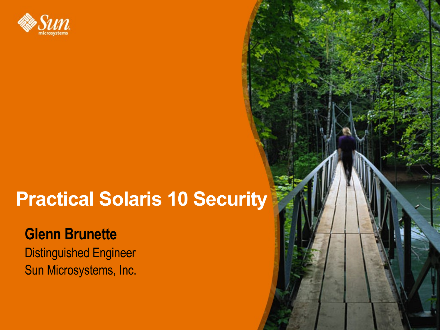

## **Practical Solaris 10 Security**

#### **Glenn Brunette**

Distinguished Engineer Sun Microsystems, Inc.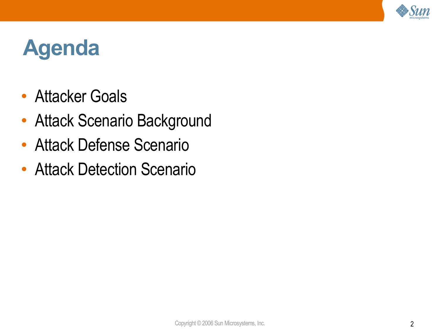

## **Agenda**

- Attacker Goals
- Attack Scenario Background
- Attack Defense Scenario
- Attack Detection Scenario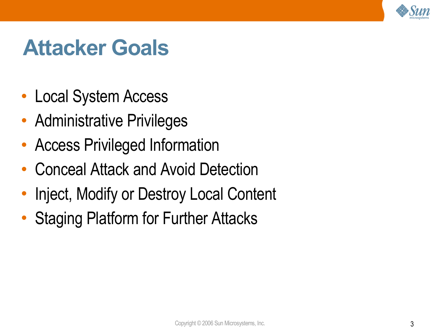

## **Attacker Goals**

- Local System Access
- Administrative Privileges
- Access Privileged Information
- Conceal Attack and Avoid Detection
- Inject, Modify or Destroy Local Content
- Staging Platform for Further Attacks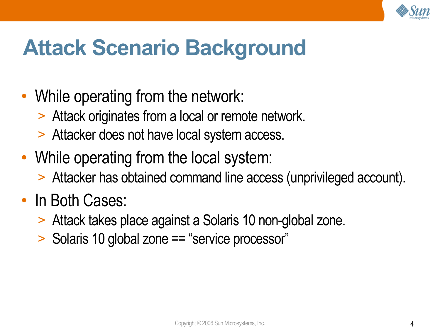

## **Attack Scenario Background**

- While operating from the network:
	- > Attack originates from a local or remote network.
	- > Attacker does not have local system access.
- While operating from the local system:
	- > Attacker has obtained command line access (unprivileged account).

#### • In Both Cases:

- > Attack takes place against a Solaris 10 non-global zone.
- > Solaris 10 global zone == "service processor"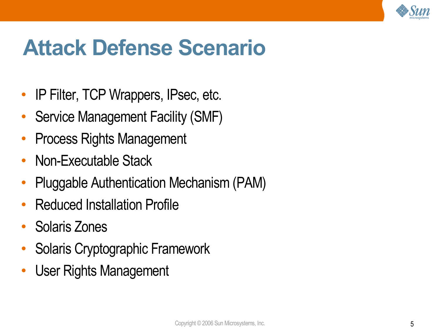

- IP Filter, TCP Wrappers, IPsec, etc.
- Service Management Facility (SMF)
- Process Rights Management
- Non-Executable Stack
- Pluggable Authentication Mechanism (PAM)
- Reduced Installation Profile
- Solaris Zones
- Solaris Cryptographic Framework
- User Rights Management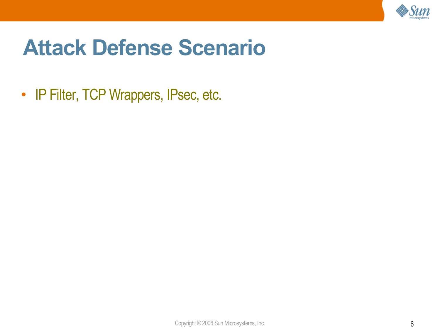

• IP Filter, TCP Wrappers, IPsec, etc.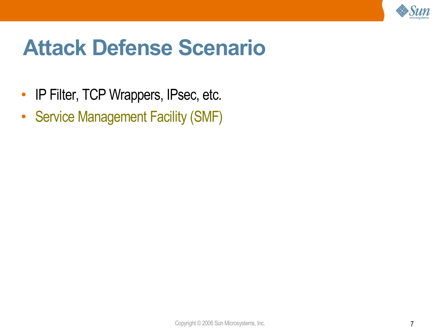

- IP Filter, TCP Wrappers, IPsec, etc.
- Service Management Facility (SMF)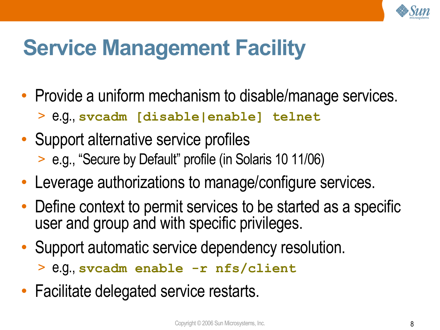

## **Service Management Facility**

- Provide a uniform mechanism to disable/manage services.
	- > e.g., **svcadm [disable|enable] telnet**
- Support alternative service profiles > e.g., "Secure by Default" profile (in Solaris 10 11/06)
- Leverage authorizations to manage/configure services.
- Define context to permit services to be started as a specific user and group and with specific privileges.
- Support automatic service dependency resolution.

> e.g., **svcadm enable -r nfs/client**

• Facilitate delegated service restarts.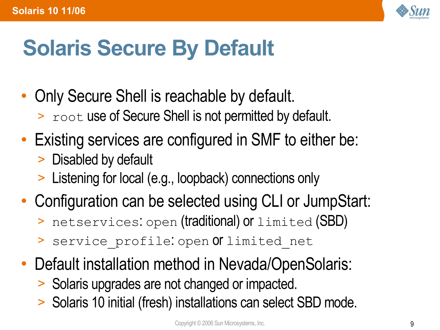

## **Solaris Secure By Default**

- Only Secure Shell is reachable by default. > root use of Secure Shell is not permitted by default.
- Existing services are configured in SMF to either be:
	- > Disabled by default
	- > Listening for local (e.g., loopback) connections only
- Configuration can be selected using CLI or JumpStart:
	- > netservices: open (traditional) or limited (SBD)
	- > service profile: open Of limited net
- Default installation method in Nevada/OpenSolaris:
	- > Solaris upgrades are not changed or impacted.
	- > Solaris 10 initial (fresh) installations can select SBD mode.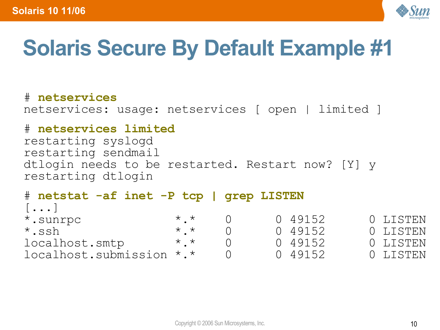

## **Solaris Secure By Default Example #1**

# **netservices** netservices: usage: netservices [ open | limited ]

#### # **netservices limited**

restarting syslogd restarting sendmail dtlogin needs to be restarted. Restart now? [Y] y restarting dtlogin

| # netstat -af inet -P tcp   grep LISTEN |                 |         |          |
|-----------------------------------------|-----------------|---------|----------|
| $[\ldots]$                              |                 |         |          |
| *.sunrpc                                | $\star$ $\star$ | 0 49152 | 0 LISTEN |
| $\star$ .ssh                            | $\star$ $\star$ | 0 49152 | 0 LISTEN |
| localhost.smtp                          | $\star$ $\star$ | 0 49152 | 0 LISTEN |
| localhost.submission *.*                |                 | 0.49152 | 0 LISTEN |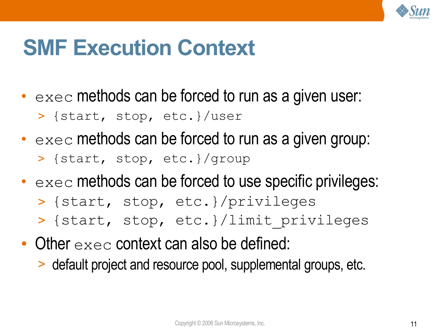

## **SMF Execution Context**

- $\bullet$  exec methods can be forced to run as a given user:
	- > {start, stop, etc.}/user
- $\bullet$  exec methods can be forced to run as a given group: > {start, stop, etc.}/group
- $\bullet$  exec methods can be forced to use specific privileges:
	- > {start, stop, etc.}/privileges
	- > {start, stop, etc.}/limit\_privileges
- Other  $e \times e \in \mathsf{context}$  can also be defined:
	- > default project and resource pool, supplemental groups, etc.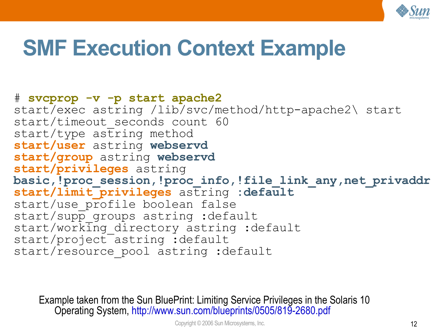

## **SMF Execution Context Example**

#### # **svcprop -v -p start apache2** start/exec astring /lib/svc/method/http-apache2\ start start/timeout seconds count 60  $start/type$  astring method **start/user** astring **webservd start/group** astring **webservd start/privileges** astring **basic,!proc\_session,!proc\_info,!file\_link\_any,net\_privaddr start/limit\_privileges** astring **:default** start/use profile boolean false start/supp groups astring :default start/working directory astring :default start/project astring :default start/resource pool astring :default

Example taken from the Sun BluePrint: Limiting Service Privileges in the Solaris 10 Operating System, <http://www.sun.com/blueprints/0505/819-2680.pdf>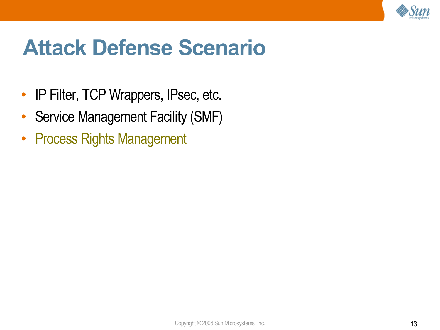

- IP Filter, TCP Wrappers, IPsec, etc.
- Service Management Facility (SMF)
- Process Rights Management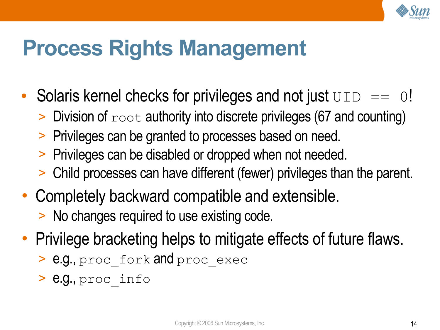

## **Process Rights Management**

- Solaris kernel checks for privileges and not just  $UD == 0!$ 
	- $>$  Division of  $_{\text{root}}$  authority into discrete privileges (67 and counting)
	- > Privileges can be granted to processes based on need.
	- > Privileges can be disabled or dropped when not needed.
	- > Child processes can have different (fewer) privileges than the parent.
- Completely backward compatible and extensible. > No changes required to use existing code.
- Privilege bracketing helps to mitigate effects of future flaws.
	- > e.g., proc\_fork and proc\_exec
	- > e.g., proc\_info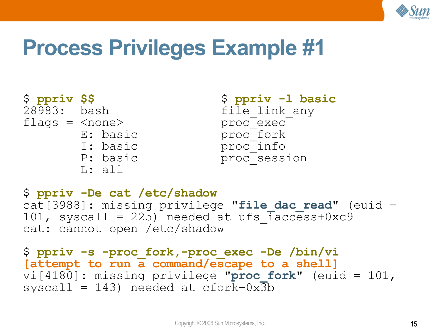

## **Process Privileges Example #1**

```
$ ppriv $$ $ ppriv -l basic
flags = <none> proc_exec
     L: all
```
file link any E: basic proc<sup>tork</sup> I: basic proc<sup>tinfo</sup> P: basic proc\_session

```
$ ppriv -De cat /etc/shadow
cat[3988]: missing privilege "file dac read" (euid =
101, syscall = 225) needed at ufs \bar{1}access+0xc9
cat: cannot open /etc/shadow
```

```
$ ppriv -s -proc_fork,-proc_exec -De /bin/vi
[attempt to run a command/escape to a shell]
vi[4180]: missing privilege "proc_fork" (euid = 101,
syscall = 143) needed at cfork+0x\overline{3}b
```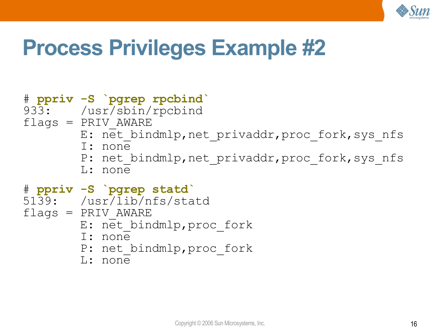

## **Process Privileges Example #2**

#### # **ppriv -S `pgrep rpcbind`** 933: /usr/sbin/rpcbind  $flags = PRIV$   $AWARE$ E: net bindmlp, net privaddr, proc fork, sys nfs I: none P: net bindmlp, net privaddr, proc fork, sys nfs L: none # **ppriv -S `pgrep statd`** 5139: /usr/lib/nfs/statd  $flags = PRIV$   $AWARE$ E: net bindmlp, proc fork I: none P: net bindmlp, proc fork

L: none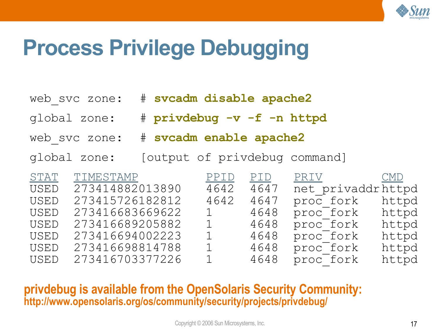

## **Process Privilege Debugging**

|  |  |  |  |  |  | web svc zone: # svcadm disable apache2 |
|--|--|--|--|--|--|----------------------------------------|
|--|--|--|--|--|--|----------------------------------------|

- global zone: # **privdebug -v -f -n httpd**
- web\_svc zone: # **svcadm enable apache2**
- global zone: [output of privdebug command]

| STAT        | TIMESTAMP       | PPID           | PID  | <u>PRIV</u> CMD   |       |
|-------------|-----------------|----------------|------|-------------------|-------|
| USED        | 273414882013890 | 4642           | 4647 | net privaddrhttpd |       |
| <b>USED</b> | 273415726182812 | 4642           | 4647 | proc fork         | httpd |
| USED        | 273416683669622 | $1 \quad \Box$ | 4648 | proc fork         | httpd |
| USED        | 273416689205882 | 1              | 4648 | proc fork         | httpd |
| <b>USED</b> | 273416694002223 | $1 -$          | 4648 | proc fork         | httpd |
| USED        | 273416698814788 | $\mathbf{1}$   | 4648 | proc fork         | httpd |
| USED        | 273416703377226 | $\mathbf{1}$   | 4648 | proc fork         | httpd |

**privdebug is available from the OpenSolaris Security Community: <http://www.opensolaris.org/os/community/security/projects/privdebug/>**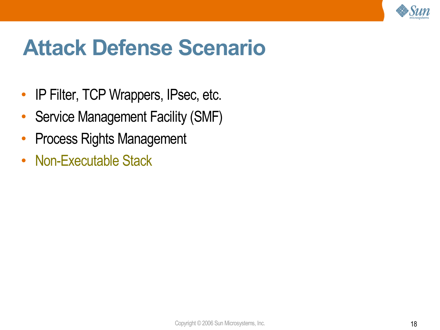

- IP Filter, TCP Wrappers, IPsec, etc.
- Service Management Facility (SMF)
- Process Rights Management
- Non-Executable Stack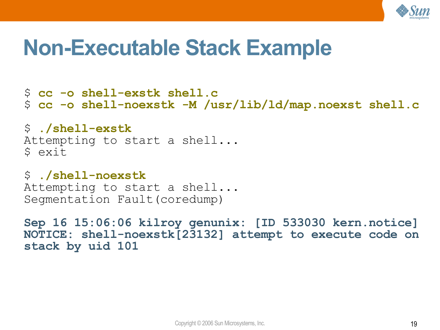

### **Non-Executable Stack Example**

\$ **cc -o shell-exstk shell.c** \$ **cc -o shell-noexstk -M /usr/lib/ld/map.noexst shell.c**

\$ **./shell-exstk** Attempting to start a shell... \$ exit

\$ **./shell-noexstk** Attempting to start a shell... Segmentation Fault(coredump)

**Sep 16 15:06:06 kilroy genunix: [ID 533030 kern.notice] NOTICE: shell-noexstk[23132] attempt to execute code on stack by uid 101**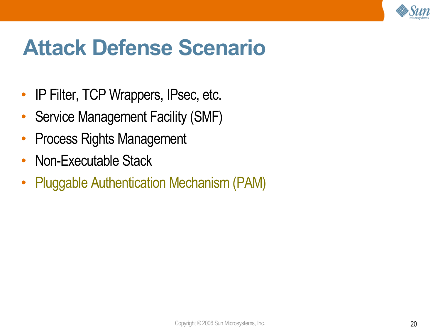

- IP Filter, TCP Wrappers, IPsec, etc.
- Service Management Facility (SMF)
- Process Rights Management
- Non-Executable Stack
- Pluggable Authentication Mechanism (PAM)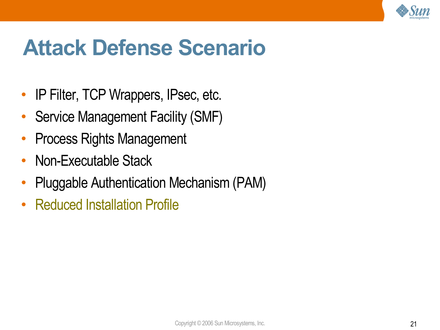

- IP Filter, TCP Wrappers, IPsec, etc.
- Service Management Facility (SMF)
- Process Rights Management
- Non-Executable Stack
- Pluggable Authentication Mechanism (PAM)
- Reduced Installation Profile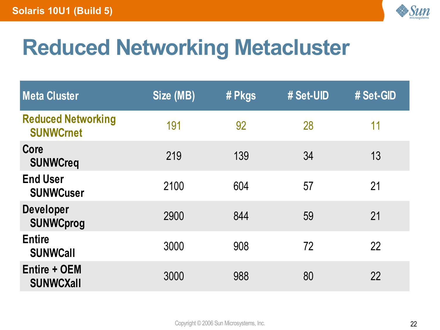

# **Reduced Networking Metacluster**

| <b>Meta Cluster</b>                           | Size (MB) | # Pkgs | # Set-UID | # Set-GID |
|-----------------------------------------------|-----------|--------|-----------|-----------|
| <b>Reduced Networking</b><br><b>SUNWCrnet</b> | 191       | 92     | 28        | 11        |
| Core<br><b>SUNWCreq</b>                       | 219       | 139    | 34        | 13        |
| <b>End User</b><br><b>SUNWCuser</b>           | 2100      | 604    | 57        | 21        |
| <b>Developer</b><br><b>SUNWCprog</b>          | 2900      | 844    | 59        | 21        |
| <b>Entire</b><br><b>SUNWCall</b>              | 3000      | 908    | 72        | 22        |
| <b>Entire + OEM</b><br><b>SUNWCXall</b>       | 3000      | 988    | 80        | 22        |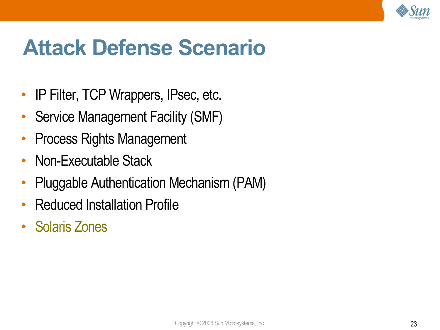

- IP Filter, TCP Wrappers, IPsec, etc.
- Service Management Facility (SMF)
- Process Rights Management
- Non-Executable Stack
- Pluggable Authentication Mechanism (PAM)
- Reduced Installation Profile
- Solaris Zones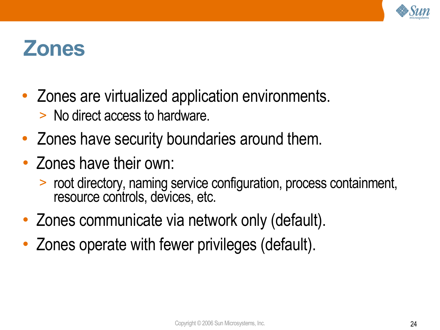

#### **Zones**

- Zones are virtualized application environments.
	- > No direct access to hardware.
- Zones have security boundaries around them.
- Zones have their own:
	- > root directory, naming service configuration, process containment, resource controls, devices, etc.
- Zones communicate via network only (default).
- Zones operate with fewer privileges (default).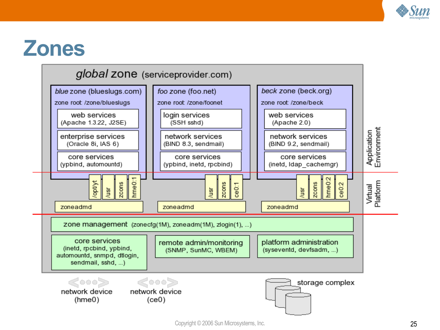

### **Zones**

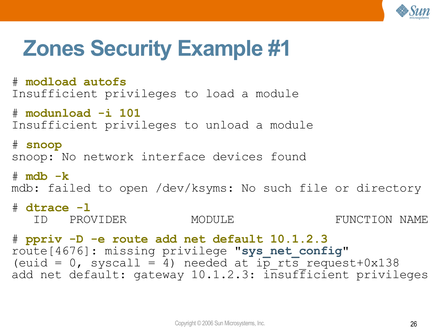

## **Zones Security Example #1**

# **modload autofs** Insufficient privileges to load a module

# **modunload -i 101** Insufficient privileges to unload a module

# **snoop** snoop: No network interface devices found

# **mdb -k**

mdb: failed to open /dev/ksyms: No such file or directory

```
# dtrace -l
```
ID PROVIDER MODULE FUNCTION NAME

# **ppriv -D -e route add net default 10.1.2.3** route[4676]: missing privilege "**sys\_net\_config**" (euid = 0, syscall = 4) needed at  $i\overline{p}$  rts request+0x138 add net default: gateway 10.1.2.3: insufficient privileges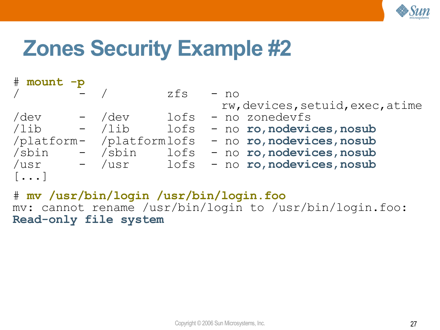

## **Zones Security Example #2**

| # mount -p            |          |        |                                                    |
|-----------------------|----------|--------|----------------------------------------------------|
|                       |          | $z$ fs | $- no$                                             |
|                       |          |        | rw, devices, setuid, exec, atime                   |
| /dev                  | - /dev   | lofs   | - no zonedevfs                                     |
| /lib                  | $-$ /lib |        | lofs - no ro, nodevices, nosub                     |
|                       |          |        | /platform- /platformlofs - no ro, nodevices, nosub |
| /sbin                 | - /sbin  |        | lofs - no ro, nodevices, nosub                     |
| /usr                  | - /usr   |        | lofs - no ro, nodevices, nosub                     |
| $\left[\ldots\right]$ |          |        |                                                    |

# **mv /usr/bin/login /usr/bin/login.foo** mv: cannot rename /usr/bin/login to /usr/bin/login.foo: **Read-only file system**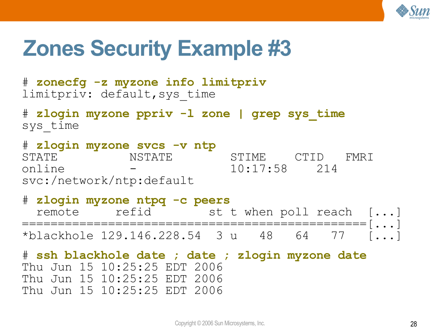

## **Zones Security Example #3**

# **zonecfg -z myzone info limitpriv** limitpriv: default,sys\_time

# **zlogin myzone ppriv -l zone | grep sys\_time** sys\_time

# **zlogin myzone svcs -v ntp** STATE NSTATE STIME CTID FMRI online - 10:17:58 214 svc:/network/ntp:default

# **zlogin myzone ntpq -c peers** remote refid st t when poll reach [...] ================================================[...] \*blackhole 129.146.228.54 3 u 48 64 77 [...]

# **ssh blackhole date ; date ; zlogin myzone date** Thu Jun 15 10:25:25 EDT 2006 Thu Jun 15 10:25:25 EDT 2006 Thu Jun 15 10:25:25 EDT 2006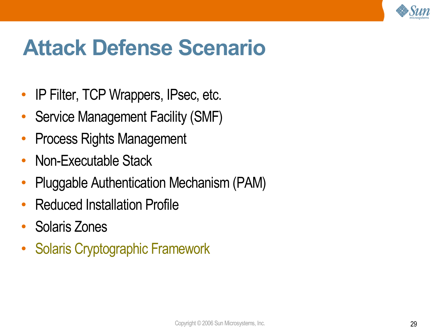

- IP Filter, TCP Wrappers, IPsec, etc.
- Service Management Facility (SMF)
- Process Rights Management
- Non-Executable Stack
- Pluggable Authentication Mechanism (PAM)
- Reduced Installation Profile
- Solaris Zones
- Solaris Cryptographic Framework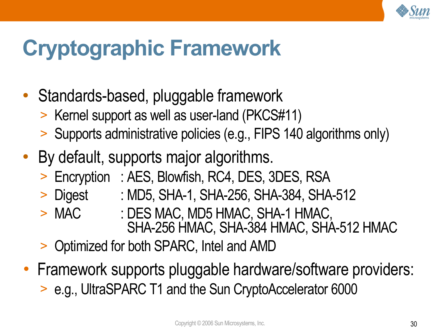

## **Cryptographic Framework**

- Standards-based, pluggable framework
	- > Kernel support as well as user-land (PKCS#11)
	- > Supports administrative policies (e.g., FIPS 140 algorithms only)
- By default, supports major algorithms.
	- > Encryption : AES, Blowfish, RC4, DES, 3DES, RSA
	- > Digest : MD5, SHA-1, SHA-256, SHA-384, SHA-512
	- > MAC : DES MAC, MD5 HMAC, SHA-1 HMAC, SHA-256 HMAC, SHA-384 HMAC, SHA-512 HMAC
	- > Optimized for both SPARC, Intel and AMD
- Framework supports pluggable hardware/software providers: > e.g., UltraSPARC T1 and the Sun CryptoAccelerator 6000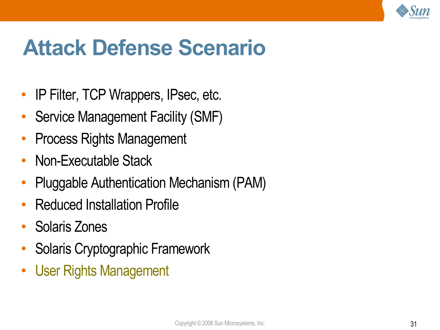

- IP Filter, TCP Wrappers, IPsec, etc.
- Service Management Facility (SMF)
- Process Rights Management
- Non-Executable Stack
- Pluggable Authentication Mechanism (PAM)
- Reduced Installation Profile
- Solaris Zones
- Solaris Cryptographic Framework
- User Rights Management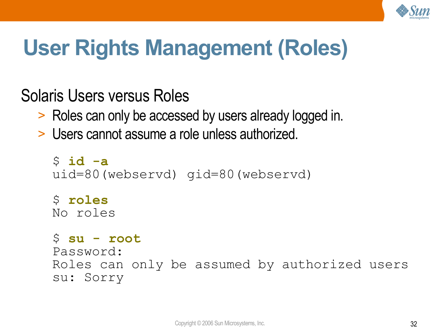

## **User Rights Management (Roles)**

Solaris Users versus Roles

- > Roles can only be accessed by users already logged in.
- > Users cannot assume a role unless authorized.

```
$ id -a
uid=80(webservd) gid=80(webservd)
$ roles
No roles
$ su - root
Password:
Roles can only be assumed by authorized users
su: Sorry
```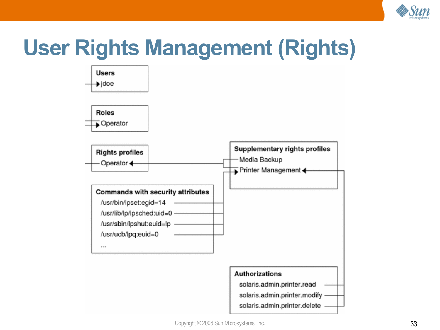

## **User Rights Management (Rights)**

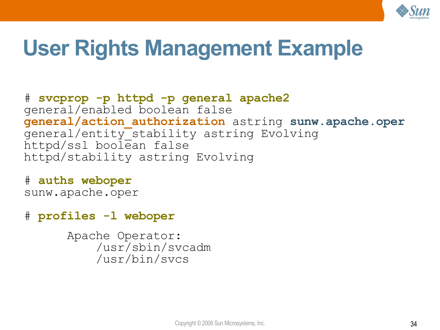

## **User Rights Management Example**

# **svcprop -p httpd -p general apache2** general/enabled boolean false **general/action\_authorization** astring **sunw.apache.oper** general/entity\_stability astring Evolving httpd/ssl boolean false httpd/stability astring Evolving

# **auths weboper** sunw.apache.oper

# **profiles -l weboper**

Apache Operator: /usr/sbin/svcadm /usr/bin/svcs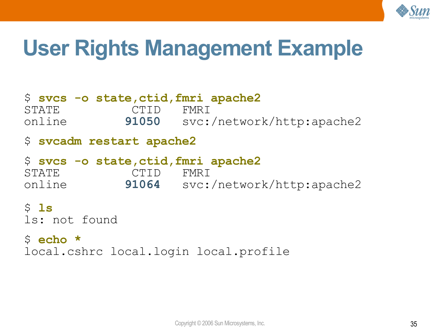

## **User Rights Management Example**

#### \$ **svcs -o state,ctid,fmri apache2** STATE CTID FMRI online **91050** svc:/network/http:apache2 \$ **svcadm restart apache2** \$ **svcs -o state,ctid,fmri apache2** STATE CTID FMRI online **91064** svc:/network/http:apache2 \$ **ls** ls: not found \$ **echo \***

local.cshrc local.login local.profile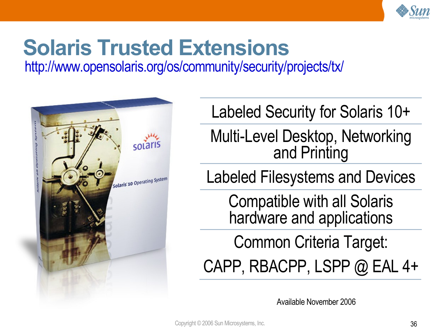

# **Solaris Trusted Extensions**

<http://www.opensolaris.org/os/community/security/projects/tx/>



Labeled Security for Solaris 10+

Multi-Level Desktop, Networking and Printing

Labeled Filesystems and Devices

Compatible with all Solaris hardware and applications

Common Criteria Target: CAPP, RBACPP, LSPP  $@$  EAL 4+

Available November 2006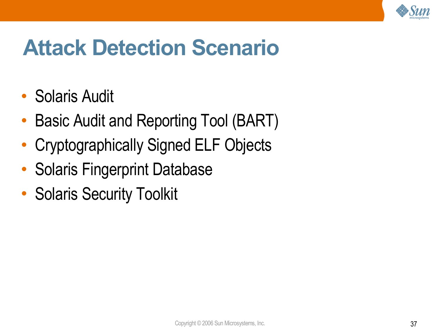

## **Attack Detection Scenario**

- Solaris Audit
- Basic Audit and Reporting Tool (BART)
- Cryptographically Signed ELF Objects
- Solaris Fingerprint Database
- Solaris Security Toolkit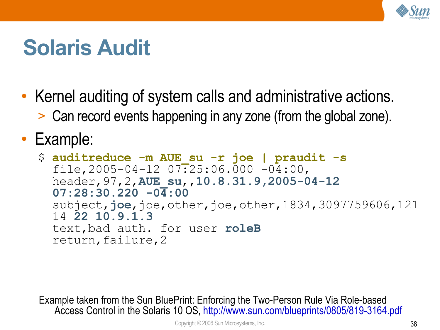

## **Solaris Audit**

- Kernel auditing of system calls and administrative actions.
	- > Can record events happening in any zone (from the global zone).

• Example:

```
$ auditreduce -m AUE_su -r joe | praudit -s
  file, 2005-04-12 07:25:06.000 -04:00,
 header,97,2,AUE_su,,10.8.31.9,2005-04-12
  07:28:30.220 -04:00
  subject,joe,joe,other,joe,other,1834,3097759606,121
  14 22 10.9.1.3
 text,bad auth. for user roleB
  return,failure,2
```
Example taken from the Sun BluePrint: Enforcing the Two-Person Rule Via Role-based Access Control in the Solaris 10 OS, <http://www.sun.com/blueprints/0805/819-3164.pdf>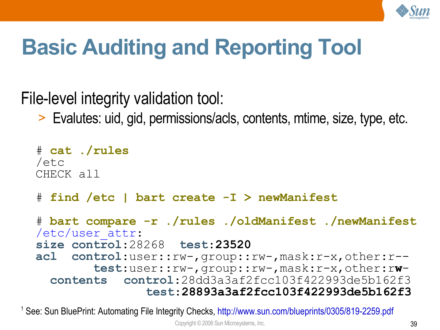

## **Basic Auditing and Reporting Tool**

File-level integrity validation tool:

> Evalutes: uid, gid, permissions/acls, contents, mtime, size, type, etc.

```
# cat ./rules
/etc
CHECK all
# find /etc | bart create -I > newManifest
# bart compare -r ./rules ./oldManifest ./newManifest
/etc/user_attr:
size control:28268 test:23520
acl control:user::rw-,group::rw-,mask:r-x,other:r--
        test:user::rw-,group::rw-,mask:r-x,other:rw-
  contents control:28dd3a3af2fcc103f422993de5b162f3
               test:28893a3af2fcc103f422993de5b162f3
```
<sup>1</sup> See: Sun BluePrint: Automating File Integrity Checks, <http://www.sun.com/blueprints/0305/819-2259.pdf>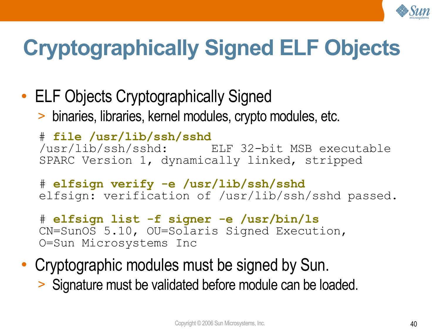

# **Cryptographically Signed ELF Objects**

• ELF Objects Cryptographically Signed > binaries, libraries, kernel modules, crypto modules, etc.

# **file /usr/lib/ssh/sshd** /usr/lib/ssh/sshd: ELF 32-bit MSB executable SPARC Version 1, dynamically linked, stripped

# **elfsign verify -e /usr/lib/ssh/sshd** elfsign: verification of /usr/lib/ssh/sshd passed.

- # **elfsign list -f signer -e /usr/bin/ls** CN=SunOS 5.10, OU=Solaris Signed Execution, O=Sun Microsystems Inc
- Cryptographic modules must be signed by Sun. > Signature must be validated before module can be loaded.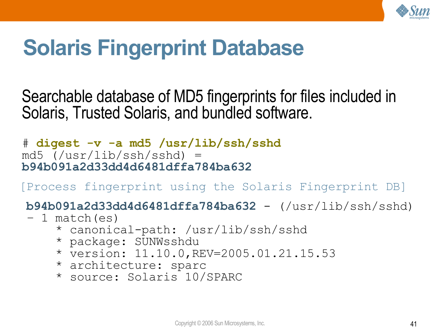

## **Solaris Fingerprint Database**

Searchable database of MD5 fingerprints for files included in Solaris, Trusted Solaris, and bundled software.

# **digest -v -a md5 /usr/lib/ssh/sshd** md5 (/usr/lib/ssh/sshd) = **b94b091a2d33dd4d6481dffa784ba632**

[Process fingerprint using the Solaris Fingerprint DB]

**b94b091a2d33dd4d6481dffa784ba632** - (/usr/lib/ssh/sshd)

- 1 match(es)
	- \* canonical-path: /usr/lib/ssh/sshd
	- \* package: SUNWsshdu
	- \* version: 11.10.0,REV=2005.01.21.15.53
	- \* architecture: sparc
	- \* source: Solaris 10/SPARC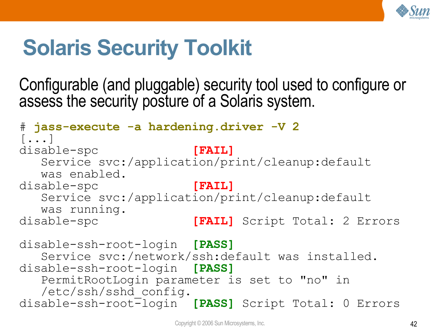

## **Solaris Security Toolkit**

Configurable (and pluggable) security tool used to configure or assess the security posture of a Solaris system.

```
# jass-execute -a hardening.driver -V 2
[...]
disable-spc [FAIL]
  Service svc:/application/print/cleanup:default
  was enabled.
disable-spc [FAIL]
  Service svc:/application/print/cleanup:default
  was running.
disable-spc [FAIL] Script Total: 2 Errors
disable-ssh-root-login [PASS]
  Service svc:/network/ssh:default was installed.
disable-ssh-root-login [PASS]
  PermitRootLogin parameter is set to "no" in
  /etc/ssh/sshd_config.
disable-ssh-root-login [PASS] Script Total: 0 Errors
```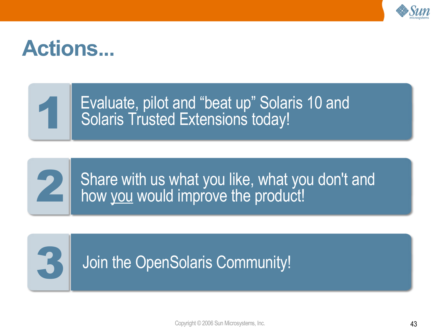

## **Actions...**

Evaluate, pilot and "beat up" Solaris 10 and Solaris Trusted Extensions today!



3

1

Share with us what you like, what you don't and how you would improve the product!

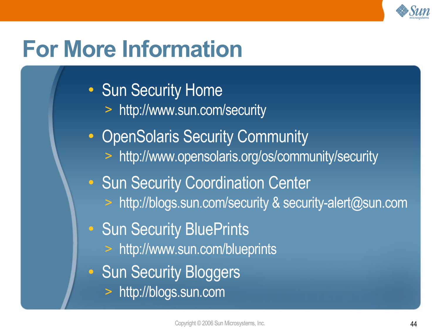

## **For More Information**

- Sun Security Home
	- > <http://www.sun.com/security>
- OpenSolaris Security Community
	- > <http://www.opensolaris.org/os/community/security>
- Sun Security Coordination Center
	- > <http://blogs.sun.com/security> & security-alert@sun.com
- Sun Security BluePrints
	- > <http://www.sun.com/blueprints>
- Sun Security Bloggers
	- > [http://blogs.sun.com](http://blogs.sun.com/)